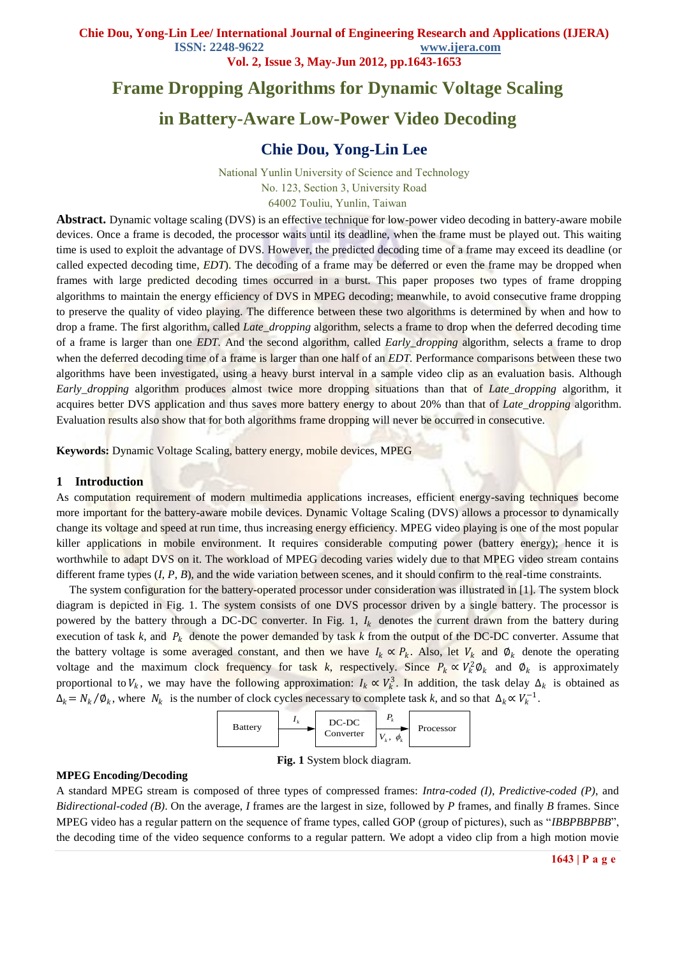**Vol. 2, Issue 3, May-Jun 2012, pp.1643-1653**

# **Frame Dropping Algorithms for Dynamic Voltage Scaling**

# **in Battery-Aware Low-Power Video Decoding**

# **Chie Dou, Yong-Lin Lee**

National Yunlin University of Science and Technology No. 123, Section 3, University Road 64002 Touliu, Yunlin, Taiwan

**Abstract.** Dynamic voltage scaling (DVS) is an effective technique for low-power video decoding in battery-aware mobile devices. Once a frame is decoded, the processor waits until its deadline, when the frame must be played out. This waiting time is used to exploit the advantage of DVS. However, the predicted decoding time of a frame may exceed its deadline (or called expected decoding time, *EDT*). The decoding of a frame may be deferred or even the frame may be dropped when frames with large predicted decoding times occurred in a burst. This paper proposes two types of frame dropping algorithms to maintain the energy efficiency of DVS in MPEG decoding; meanwhile, to avoid consecutive frame dropping to preserve the quality of video playing. The difference between these two algorithms is determined by when and how to drop a frame. The first algorithm, called *Late\_dropping* algorithm, selects a frame to drop when the deferred decoding time of a frame is larger than one *EDT.* And the second algorithm, called *Early\_dropping* algorithm, selects a frame to drop when the deferred decoding time of a frame is larger than one half of an *EDT*. Performance comparisons between these two algorithms have been investigated, using a heavy burst interval in a sample video clip as an evaluation basis. Although *Early\_dropping* algorithm produces almost twice more dropping situations than that of *Late\_dropping* algorithm, it acquires better DVS application and thus saves more battery energy to about 20% than that of *Late\_dropping* algorithm. Evaluation results also show that for both algorithms frame dropping will never be occurred in consecutive.

**Keywords:** Dynamic Voltage Scaling, battery energy, mobile devices, MPEG

### **1 Introduction**

As computation requirement of modern multimedia applications increases, efficient energy-saving techniques become more important for the battery-aware mobile devices. Dynamic Voltage Scaling (DVS) allows a processor to dynamically change its voltage and speed at run time, thus increasing energy efficiency. MPEG video playing is one of the most popular killer applications in mobile environment. It requires considerable computing power (battery energy); hence it is worthwhile to adapt DVS on it. The workload of MPEG decoding varies widely due to that MPEG video stream contains different frame types (*I*, *P*, *B*), and the wide variation between scenes, and it should confirm to the real-time constraints.

The system configuration for the battery-operated processor under consideration was illustrated in [1]. The system block diagram is depicted in Fig. 1. The system consists of one DVS processor driven by a single battery. The processor is powered by the battery through a DC-DC converter. In Fig. 1,  $I_k$  denotes the current drawn from the battery during execution of task  $k$ , and  $P_k$  denote the power demanded by task  $k$  from the output of the DC-DC converter. Assume that the battery voltage is some averaged constant, and then we have  $I_k \propto P_k$ . Also, let  $V_k$  and  $\emptyset_k$  denote the operating voltage and the maximum clock frequency for task k, respectively. Since  $P_k \propto V_k^2 \Phi_k$  and  $\Phi_k$  is approximately proportional to  $V_k$ , we may have the following approximation:  $I_k \propto V_k^3$ . In addition, the task delay  $\Delta_k$  is obtained as  $\Delta_k = N_k / \emptyset_k$ , where  $N_k$  is the number of clock cycles necessary to complete task *k*, and so that  $\Delta_k \propto V_k^{-1}$ .



**Fig. 1** System block diagram.

### **MPEG Encoding/Decoding**

A standard MPEG stream is composed of three types of compressed frames: *Intra-coded (I)*, *Predictive-coded (P)*, and *Bidirectional-coded (B)*. On the average, *I* frames are the largest in size, followed by *P* frames, and finally *B* frames. Since MPEG video has a regular pattern on the sequence of frame types, called GOP (group of pictures), such as "*IBBPBBPBB*", the decoding time of the video sequence conforms to a regular pattern. We adopt a video clip from a high motion movie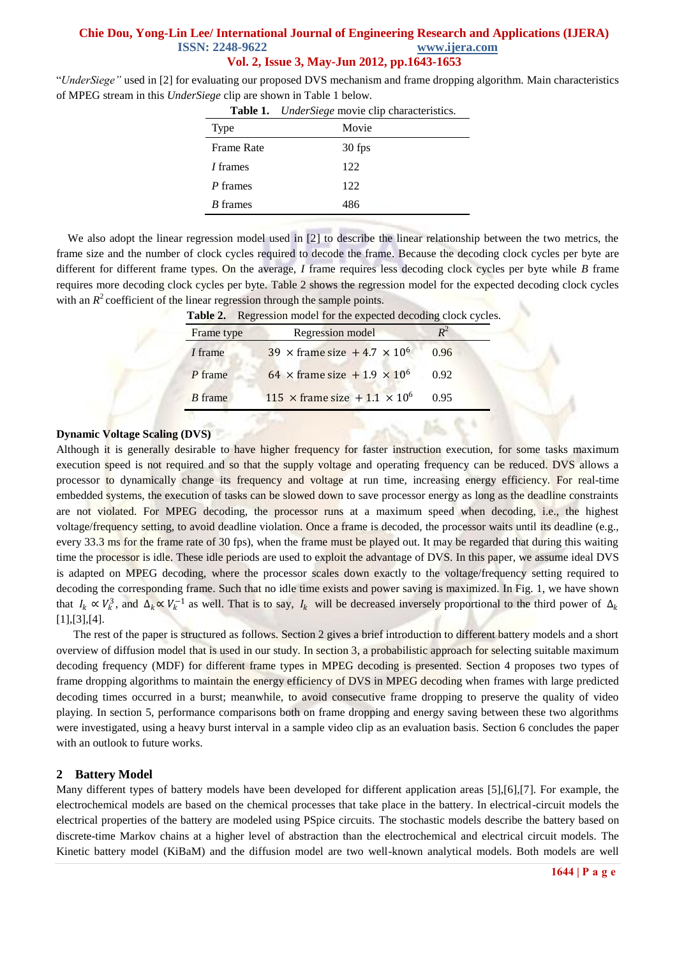"*UnderSiege"* used in [2] for evaluating our proposed DVS mechanism and frame dropping algorithm. Main characteristics of MPEG stream in this *UnderSiege* clip are shown in Table 1 below.

|                   | Table 1. <i>UnderSiege</i> movie clip characteristics. |
|-------------------|--------------------------------------------------------|
| Type              | Movie                                                  |
| <b>Frame Rate</b> | 30 fps                                                 |
| <i>I</i> frames   | 122                                                    |
| P frames          | 122                                                    |
| <i>B</i> frames   | 486                                                    |

We also adopt the linear regression model used in [2] to describe the linear relationship between the two metrics, the frame size and the number of clock cycles required to decode the frame. Because the decoding clock cycles per byte are different for different frame types. On the average, *I* frame requires less decoding clock cycles per byte while *B* frame requires more decoding clock cycles per byte. Table 2 shows the regression model for the expected decoding clock cycles with an  $R^2$  coefficient of the linear regression through the sample points.

| Table 2. Regression model for the expected decoding clock cycles. |                                                        |      |  |
|-------------------------------------------------------------------|--------------------------------------------------------|------|--|
| Frame type                                                        | Regression model                                       |      |  |
| <i>I</i> frame                                                    | 39 $\times$ frame size +4.7 $\times$ 10 <sup>6</sup>   | 0.96 |  |
| P frame                                                           | 64 $\times$ frame size + 1.9 $\times$ 10 <sup>6</sup>  | 0.92 |  |
| <i>B</i> frame                                                    | 115 $\times$ frame size + 1.1 $\times$ 10 <sup>6</sup> | 0.95 |  |

### **Dynamic Voltage Scaling (DVS)**

Although it is generally desirable to have higher frequency for faster instruction execution, for some tasks maximum execution speed is not required and so that the supply voltage and operating frequency can be reduced. DVS allows a processor to dynamically change its frequency and voltage at run time, increasing energy efficiency. For real-time embedded systems, the execution of tasks can be slowed down to save processor energy as long as the deadline constraints are not violated. For MPEG decoding, the processor runs at a maximum speed when decoding, i.e., the highest voltage/frequency setting, to avoid deadline violation. Once a frame is decoded, the processor waits until its deadline (e.g., every 33.3 ms for the frame rate of 30 fps), when the frame must be played out. It may be regarded that during this waiting time the processor is idle. These idle periods are used to exploit the advantage of DVS. In this paper, we assume ideal DVS is adapted on MPEG decoding, where the processor scales down exactly to the voltage/frequency setting required to decoding the corresponding frame. Such that no idle time exists and power saving is maximized. In Fig. 1, we have shown that  $I_k \propto V_k^3$ , and  $\Delta_k \propto V_k^{-1}$  as well. That is to say,  $I_k$  will be decreased inversely proportional to the third power of  $\Delta_k$ [1],[3],[4].

 The rest of the paper is structured as follows. Section 2 gives a brief introduction to different battery models and a short overview of diffusion model that is used in our study. In section 3, a probabilistic approach for selecting suitable maximum decoding frequency (MDF) for different frame types in MPEG decoding is presented. Section 4 proposes two types of frame dropping algorithms to maintain the energy efficiency of DVS in MPEG decoding when frames with large predicted decoding times occurred in a burst; meanwhile, to avoid consecutive frame dropping to preserve the quality of video playing. In section 5, performance comparisons both on frame dropping and energy saving between these two algorithms were investigated, using a heavy burst interval in a sample video clip as an evaluation basis. Section 6 concludes the paper with an outlook to future works.

### **2 Battery Model**

Many different types of battery models have been developed for different application areas [5],[6],[7]. For example, the electrochemical models are based on the chemical processes that take place in the battery. In electrical-circuit models the electrical properties of the battery are modeled using PSpice circuits. The stochastic models describe the battery based on discrete-time Markov chains at a higher level of abstraction than the electrochemical and electrical circuit models. The Kinetic battery model (KiBaM) and the diffusion model are two well-known analytical models. Both models are well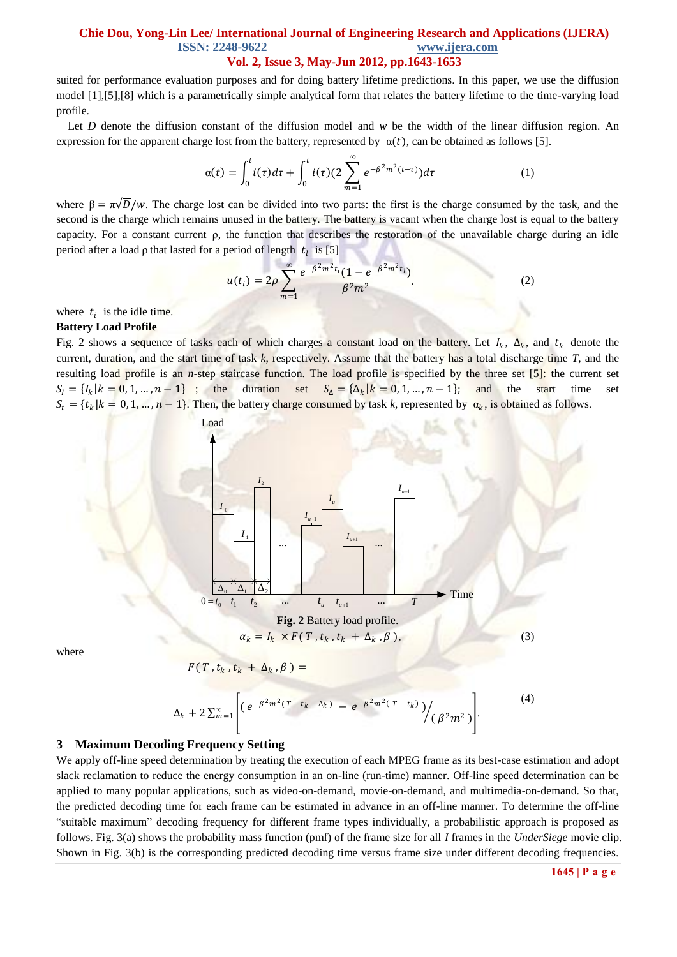suited for performance evaluation purposes and for doing battery lifetime predictions. In this paper, we use the diffusion model [1],[5],[8] which is a parametrically simple analytical form that relates the battery lifetime to the time-varying load profile.

Let *D* denote the diffusion constant of the diffusion model and *w* be the width of the linear diffusion region. An expression for the apparent charge lost from the battery, represented by  $\alpha(t)$ , can be obtained as follows [5].

$$
\alpha(t) = \int_0^t i(\tau)d\tau + \int_0^t i(\tau)(2\sum_{m=1}^\infty e^{-\beta^2 m^2(t-\tau)})d\tau \tag{1}
$$

 $\lambda$ 

where  $\beta = \pi \sqrt{D}/w$ . The charge lost can be divided into two parts: the first is the charge consumed by the task, and the second is the charge which remains unused in the battery. The battery is vacant when the charge lost is equal to the battery capacity. For a constant current ρ, the function that describes the restoration of the unavailable charge during an idle period after a load  $\rho$  that lasted for a period of length  $t_l$  is [5]

$$
u(t_i) = 2\rho \sum_{m=1}^{\infty} \frac{e^{-\beta^2 m^2 t_i} (1 - e^{-\beta^2 m^2 t_i})}{\beta^2 m^2},
$$
 (2)

where  $t_i$  is the idle time.

#### **Battery Load Profile**

Fig. 2 shows a sequence of tasks each of which charges a constant load on the battery. Let  $I_k$ ,  $\Delta_k$ , and  $t_k$  denote the current, duration, and the start time of task *k*, respectively. Assume that the battery has a total discharge time *T*, and the resulting load profile is an *n*-step staircase function. The load profile is specified by the three set [5]: the current set  $S_I = \{I_k | k = 0, 1, ..., n-1\}$ ; the duration set  $S_\Delta = \{\Delta_k | k = 0, 1, ..., n-1\}$ ; and the start time set  $S_t = \{t_k | k = 0, 1, ..., n-1\}$ . Then, the battery charge consumed by task *k*, represented by  $\alpha_k$ , is obtained as follows.



where

$$
F(T,t_k,t_k+\Delta_k,\beta)=
$$

$$
\Delta_k + 2 \sum_{m=1}^{\infty} \left[ \left( e^{-\beta^2 m^2 (T - t_k - \Delta_k)} - e^{-\beta^2 m^2 (T - t_k)} \right) / \left( \beta^2 m^2 \right) \right]. \tag{4}
$$

### **3 Maximum Decoding Frequency Setting**

We apply off-line speed determination by treating the execution of each MPEG frame as its best-case estimation and adopt slack reclamation to reduce the energy consumption in an on-line (run-time) manner. Off-line speed determination can be applied to many popular applications, such as video-on-demand, movie-on-demand, and multimedia-on-demand. So that, the predicted decoding time for each frame can be estimated in advance in an off-line manner. To determine the off-line "suitable maximum" decoding frequency for different frame types individually, a probabilistic approach is proposed as follows. Fig. 3(a) shows the probability mass function (pmf) of the frame size for all *I* frames in the *UnderSiege* movie clip. Shown in Fig. 3(b) is the corresponding predicted decoding time versus frame size under different decoding frequencies.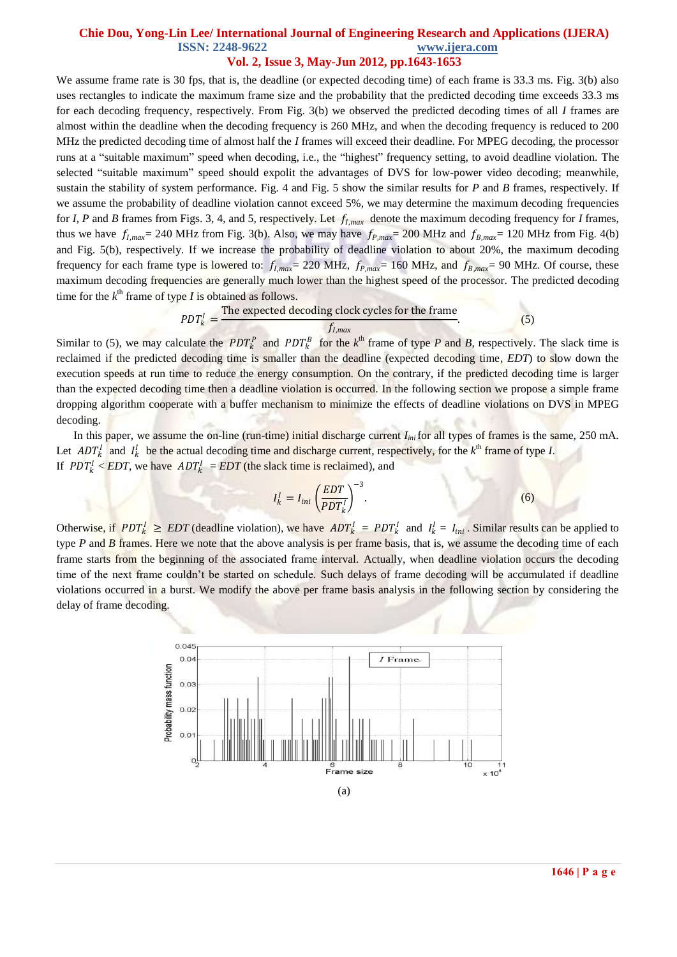# **Vol. 2, Issue 3, May-Jun 2012, pp.1643-1653**

We assume frame rate is 30 fps, that is, the deadline (or expected decoding time) of each frame is 33.3 ms. Fig. 3(b) also uses rectangles to indicate the maximum frame size and the probability that the predicted decoding time exceeds 33.3 ms for each decoding frequency, respectively. From Fig. 3(b) we observed the predicted decoding times of all *I* frames are almost within the deadline when the decoding frequency is 260 MHz, and when the decoding frequency is reduced to 200 MHz the predicted decoding time of almost half the *I* frames will exceed their deadline. For MPEG decoding, the processor runs at a "suitable maximum" speed when decoding, i.e., the "highest" frequency setting, to avoid deadline violation. The selected "suitable maximum" speed should expolit the advantages of DVS for low-power video decoding; meanwhile, sustain the stability of system performance. Fig. 4 and Fig. 5 show the similar results for *P* and *B* frames, respectively. If we assume the probability of deadline violation cannot exceed 5%, we may determine the maximum decoding frequencies for *I*, *P* and *B* frames from Figs. 3, 4, and 5, respectively. Let  $f_{lmax}$  denote the maximum decoding frequency for *I* frames, thus we have  $f_{I,max}$  = 240 MHz from Fig. 3(b). Also, we may have  $f_{P,max}$  = 200 MHz and  $f_{B,max}$  = 120 MHz from Fig. 4(b) and Fig. 5(b), respectively. If we increase the probability of deadline violation to about 20%, the maximum decoding frequency for each frame type is lowered to:  $f_{I,max} = 220 \text{ MHz}$ ,  $f_{P,max} = 160 \text{ MHz}$ , and  $f_{B,max} = 90 \text{ MHz}$ . Of course, these maximum decoding frequencies are generally much lower than the highest speed of the processor. The predicted decoding time for the  $k^{\text{th}}$  frame of type *I* is obtained as follows.

$$
PDF_{k}^{I} = \frac{\text{The expected decoding clock cycles for the frame}}{f_{I,max}} \tag{5}
$$

Similar to (5), we may calculate the  $PDT_k^P$  and  $PDT_k^B$  for the  $k^{\text{th}}$  frame of type P and B, respectively. The slack time is reclaimed if the predicted decoding time is smaller than the deadline (expected decoding time, *EDT*) to slow down the execution speeds at run time to reduce the energy consumption. On the contrary, if the predicted decoding time is larger than the expected decoding time then a deadline violation is occurred. In the following section we propose a simple frame dropping algorithm cooperate with a buffer mechanism to minimize the effects of deadline violations on DVS in MPEG decoding.

 In this paper, we assume the on-line (run-time) initial discharge current *Iini* for all types of frames is the same, 250 mA. Let  $ADT_k^I$  and  $I_k^I$  be the actual decoding time and discharge current, respectively, for the  $k^{\text{th}}$  frame of type *I*. If  $PDT_k^1 < EDT$ , we have  $ADT_k^1 = EDT$  (the slack time is reclaimed), and

$$
I_k^l = I_{ini} \left(\frac{EDT}{PDT_k^l}\right)^{-3}.\tag{6}
$$

Otherwise, if  $PDT_k^I \geq EDT$  (deadline violation), we have  $ADT_k^I = PDT_k^I$  and  $I_k^I = I_{ini}$ . Similar results can be applied to type *P* and *B* frames. Here we note that the above analysis is per frame basis, that is, we assume the decoding time of each frame starts from the beginning of the associated frame interval. Actually, when deadline violation occurs the decoding time of the next frame couldn't be started on schedule. Such delays of frame decoding will be accumulated if deadline violations occurred in a burst. We modify the above per frame basis analysis in the following section by considering the delay of frame decoding.

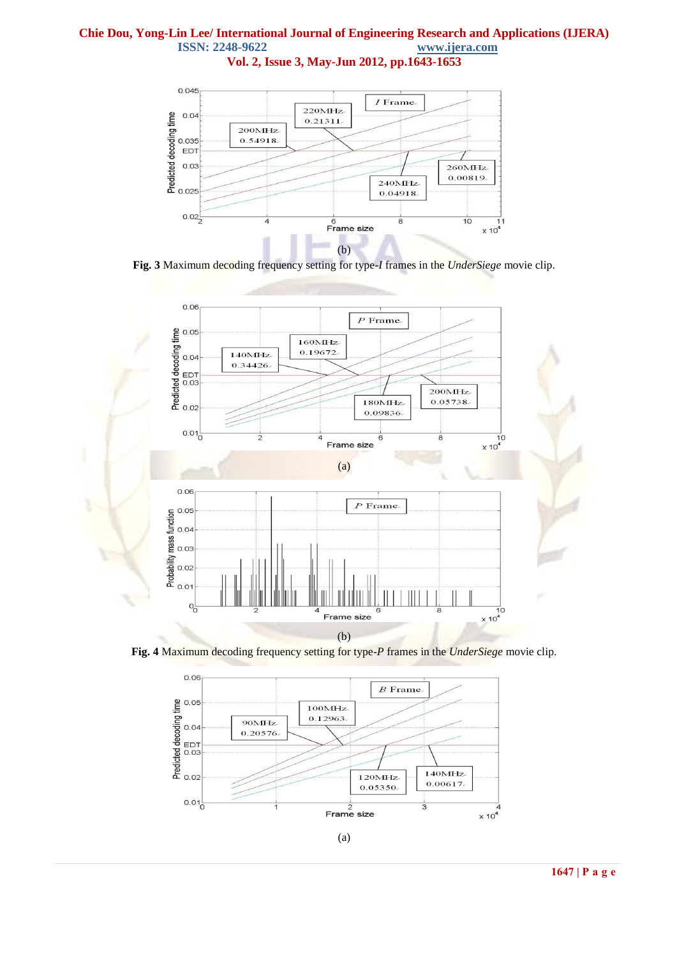**Vol. 2, Issue 3, May-Jun 2012, pp.1643-1653**



**Fig. 3** Maximum decoding frequency setting for type-*I* frames in the *UnderSiege* movie clip.



**Fig. 4** Maximum decoding frequency setting for type-*P* frames in the *UnderSiege* movie clip.

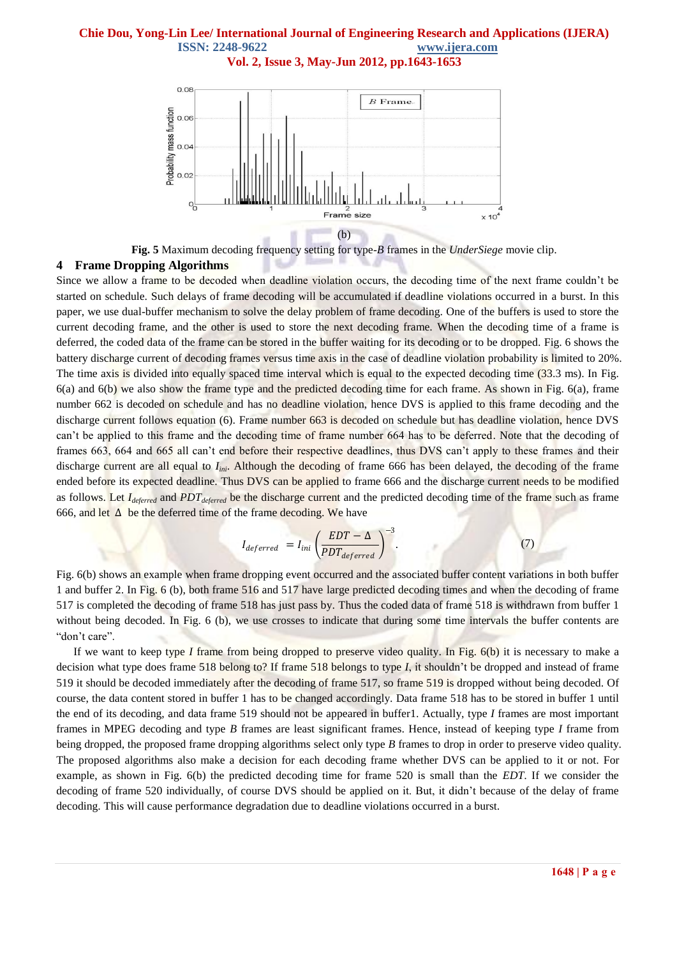**Vol. 2, Issue 3, May-Jun 2012, pp.1643-1653**



**Fig. 5** Maximum decoding frequency setting for type-*B* frames in the *UnderSiege* movie clip.

# **4 Frame Dropping Algorithms**

Since we allow a frame to be decoded when deadline violation occurs, the decoding time of the next frame couldn't be started on schedule. Such delays of frame decoding will be accumulated if deadline violations occurred in a burst. In this paper, we use dual-buffer mechanism to solve the delay problem of frame decoding. One of the buffers is used to store the current decoding frame, and the other is used to store the next decoding frame. When the decoding time of a frame is deferred, the coded data of the frame can be stored in the buffer waiting for its decoding or to be dropped. Fig. 6 shows the battery discharge current of decoding frames versus time axis in the case of deadline violation probability is limited to 20%. The time axis is divided into equally spaced time interval which is equal to the expected decoding time (33.3 ms). In Fig.  $6(a)$  and  $6(b)$  we also show the frame type and the predicted decoding time for each frame. As shown in Fig.  $6(a)$ , frame number 662 is decoded on schedule and has no deadline violation, hence DVS is applied to this frame decoding and the discharge current follows equation (6). Frame number 663 is decoded on schedule but has deadline violation, hence DVS can't be applied to this frame and the decoding time of frame number 664 has to be deferred. Note that the decoding of frames 663, 664 and 665 all can't end before their respective deadlines, thus DVS can't apply to these frames and their discharge current are all equal to *Iini*. Although the decoding of frame 666 has been delayed, the decoding of the frame ended before its expected deadline. Thus DVS can be applied to frame 666 and the discharge current needs to be modified as follows. Let *Ideferred* and *PDTdeferred* be the discharge current and the predicted decoding time of the frame such as frame 666, and let  $\Delta$  be the deferred time of the frame decoding. We have

$$
I_{deferred} = I_{ini} \left(\frac{EDT - \Delta}{PDT_{deferred}}\right)^{-3}.
$$
 (7)

Fig. 6(b) shows an example when frame dropping event occurred and the associated buffer content variations in both buffer 1 and buffer 2. In Fig. 6 (b), both frame 516 and 517 have large predicted decoding times and when the decoding of frame 517 is completed the decoding of frame 518 has just pass by. Thus the coded data of frame 518 is withdrawn from buffer 1 without being decoded. In Fig. 6 (b), we use crosses to indicate that during some time intervals the buffer contents are "don't care".

 If we want to keep type *I* frame from being dropped to preserve video quality. In Fig. 6(b) it is necessary to make a decision what type does frame 518 belong to? If frame 518 belongs to type *I*, it shouldn't be dropped and instead of frame 519 it should be decoded immediately after the decoding of frame 517, so frame 519 is dropped without being decoded. Of course, the data content stored in buffer 1 has to be changed accordingly. Data frame 518 has to be stored in buffer 1 until the end of its decoding, and data frame 519 should not be appeared in buffer1. Actually, type *I* frames are most important frames in MPEG decoding and type *B* frames are least significant frames. Hence, instead of keeping type *I* frame from being dropped, the proposed frame dropping algorithms select only type *B* frames to drop in order to preserve video quality. The proposed algorithms also make a decision for each decoding frame whether DVS can be applied to it or not. For example, as shown in Fig. 6(b) the predicted decoding time for frame 520 is small than the *EDT*. If we consider the decoding of frame 520 individually, of course DVS should be applied on it. But, it didn't because of the delay of frame decoding. This will cause performance degradation due to deadline violations occurred in a burst.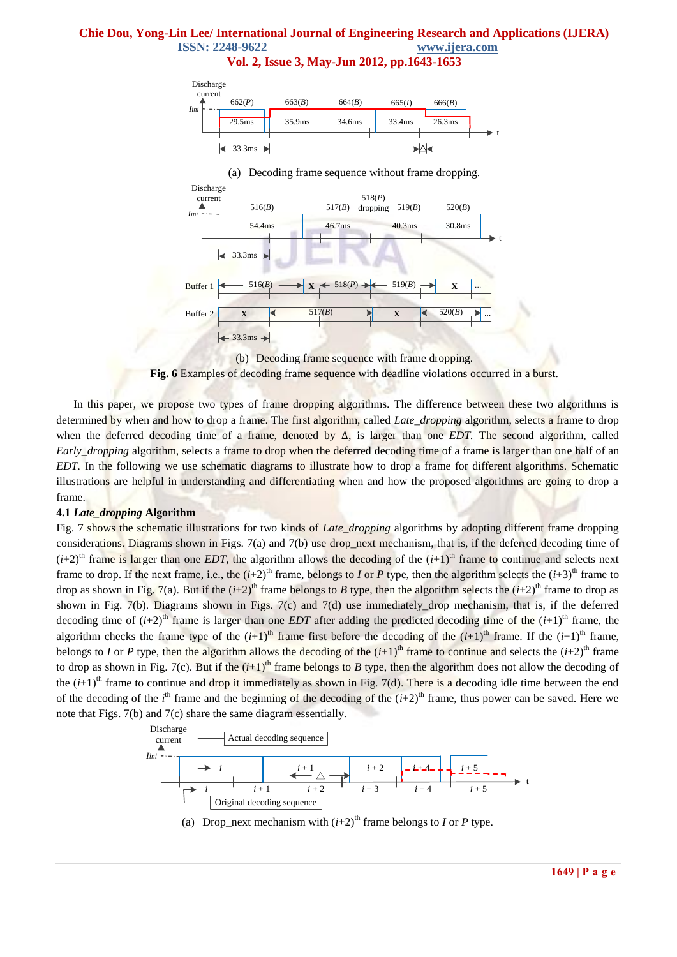**Vol. 2, Issue 3, May-Jun 2012, pp.1643-1653**



(a) Decoding frame sequence without frame dropping.



(b) Decoding frame sequence with frame dropping.



 In this paper, we propose two types of frame dropping algorithms. The difference between these two algorithms is determined by when and how to drop a frame. The first algorithm, called *Late\_dropping* algorithm, selects a frame to drop when the deferred decoding time of a frame, denoted by ∆, is larger than one *EDT.* The second algorithm, called *Early\_dropping* algorithm, selects a frame to drop when the deferred decoding time of a frame is larger than one half of an *EDT*. In the following we use schematic diagrams to illustrate how to drop a frame for different algorithms. Schematic illustrations are helpful in understanding and differentiating when and how the proposed algorithms are going to drop a frame.

### **4.1** *Late\_dropping* **Algorithm**

Fig. 7 shows the schematic illustrations for two kinds of *Late\_dropping* algorithms by adopting different frame dropping considerations. Diagrams shown in Figs. 7(a) and 7(b) use drop\_next mechanism, that is, if the deferred decoding time of  $(i+2)$ <sup>th</sup> frame is larger than one *EDT*, the algorithm allows the decoding of the  $(i+1)$ <sup>th</sup> frame to continue and selects next frame to drop. If the next frame, i.e., the  $(i+2)^{th}$  frame, belongs to *I* or *P* type, then the algorithm selects the  $(i+3)^{th}$  frame to drop as shown in Fig. 7(a). But if the  $(i+2)^{th}$  frame belongs to *B* type, then the algorithm selects the  $(i+2)^{th}$  frame to drop as shown in Fig.  $7(b)$ . Diagrams shown in Figs.  $7(c)$  and  $7(d)$  use immediately drop mechanism, that is, if the deferred decoding time of  $(i+2)$ <sup>th</sup> frame is larger than one *EDT* after adding the predicted decoding time of the  $(i+1)$ <sup>th</sup> frame, the algorithm checks the frame type of the  $(i+1)$ <sup>th</sup> frame first before the decoding of the  $(i+1)$ <sup>th</sup> frame. If the  $(i+1)$ <sup>th</sup> frame, belongs to *I* or *P* type, then the algorithm allows the decoding of the  $(i+1)$ <sup>th</sup> frame to continue and selects the  $(i+2)$ <sup>th</sup> frame to drop as shown in Fig. 7(c). But if the  $(i+1)^{th}$  frame belongs to *B* type, then the algorithm does not allow the decoding of the  $(i+1)$ <sup>th</sup> frame to continue and drop it immediately as shown in Fig. 7(d). There is a decoding idle time between the end of the decoding of the  $i^{\text{th}}$  frame and the beginning of the decoding of the  $(i+2)^{\text{th}}$  frame, thus power can be saved. Here we note that Figs. 7(b) and 7(c) share the same diagram essentially.



(a) Drop\_next mechanism with  $(i+2)^{th}$  frame belongs to *I* or *P* type.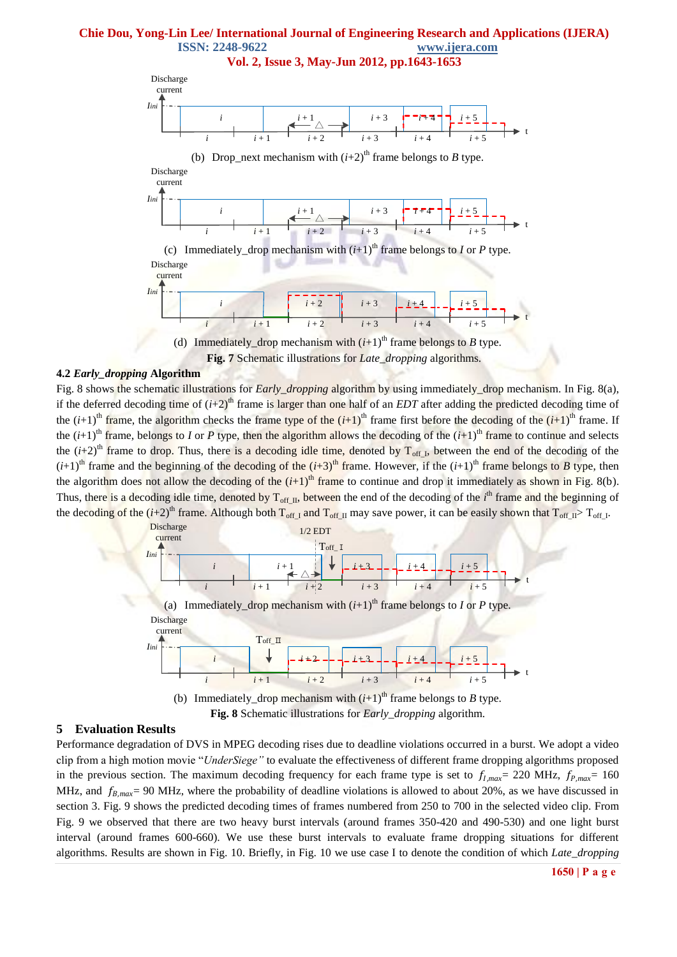**Vol. 2, Issue 3, May-Jun 2012, pp.1643-1653**



**Fig. 7** Schematic illustrations for *Late\_dropping* algorithms.

### **4.2** *Early\_dropping* **Algorithm**

Fig. 8 shows the schematic illustrations for *Early\_dropping* algorithm by using immediately\_drop mechanism. In Fig. 8(a), if the deferred decoding time of  $(i+2)^{th}$  frame is larger than one half of an *EDT* after adding the predicted decoding time of the  $(i+1)$ <sup>th</sup> frame, the algorithm checks the frame type of the  $(i+1)$ <sup>th</sup> frame first before the decoding of the  $(i+1)$ <sup>th</sup> frame. If the  $(i+1)$ <sup>th</sup> frame, belongs to *I* or *P* type, then the algorithm allows the decoding of the  $(i+1)$ <sup>th</sup> frame to continue and selects the  $(i+2)$ <sup>th</sup> frame to drop. Thus, there is a decoding idle time, denoted by  $T_{off}$ , between the end of the decoding of the  $(i+1)$ <sup>th</sup> frame and the beginning of the decoding of the  $(i+3)$ <sup>th</sup> frame. However, if the  $(i+1)$ <sup>th</sup> frame belongs to *B* type, then the algorithm does not allow the decoding of the  $(i+1)$ <sup>th</sup> frame to continue and drop it immediately as shown in Fig. 8(b). Thus, there is a decoding idle time, denoted by T<sub>off\_II</sub>, between the end of the decoding of the *i*<sup>th</sup> frame and the beginning of the decoding of the  $(i+2)^{th}$  frame. Although both  $T_{off\_I}$  and  $T_{off\_I}$  may save power, it can be easily shown that  $T_{off\_I}$ .





### **5 Evaluation Results**

Performance degradation of DVS in MPEG decoding rises due to deadline violations occurred in a burst. We adopt a video clip from a high motion movie "*UnderSiege"* to evaluate the effectiveness of different frame dropping algorithms proposed in the previous section. The maximum decoding frequency for each frame type is set to  $f_{l,max} = 220 \text{ MHz}$ ,  $f_{p,max} = 160$ MHz, and  $f_{B,max}$ = 90 MHz, where the probability of deadline violations is allowed to about 20%, as we have discussed in section 3. Fig. 9 shows the predicted decoding times of frames numbered from 250 to 700 in the selected video clip. From Fig. 9 we observed that there are two heavy burst intervals (around frames 350-420 and 490-530) and one light burst interval (around frames 600-660). We use these burst intervals to evaluate frame dropping situations for different algorithms. Results are shown in Fig. 10. Briefly, in Fig. 10 we use case I to denote the condition of which *Late\_dropping*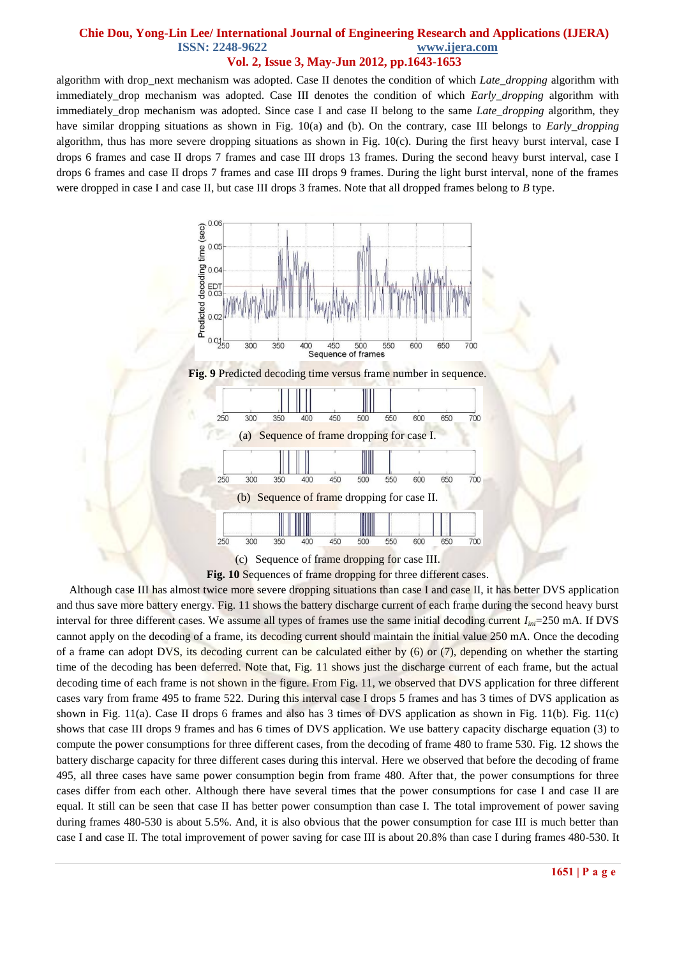algorithm with drop\_next mechanism was adopted. Case II denotes the condition of which *Late\_dropping* algorithm with immediately\_drop mechanism was adopted. Case III denotes the condition of which *Early\_dropping* algorithm with immediately\_drop mechanism was adopted. Since case I and case II belong to the same *Late\_dropping* algorithm, they have similar dropping situations as shown in Fig. 10(a) and (b). On the contrary, case III belongs to *Early\_dropping*  algorithm, thus has more severe dropping situations as shown in Fig. 10(c). During the first heavy burst interval, case I drops 6 frames and case II drops 7 frames and case III drops 13 frames. During the second heavy burst interval, case I drops 6 frames and case II drops 7 frames and case III drops 9 frames. During the light burst interval, none of the frames were dropped in case I and case II, but case III drops 3 frames. Note that all dropped frames belong to *B* type.



**Fig. 10** Sequences of frame dropping for three different cases.

Although case III has almost twice more severe dropping situations than case I and case II, it has better DVS application and thus save more battery energy. Fig. 11 shows the battery discharge current of each frame during the second heavy burst interval for three different cases. We assume all types of frames use the same initial decoding current *Iini*=250 mA. If DVS cannot apply on the decoding of a frame, its decoding current should maintain the initial value 250 mA. Once the decoding of a frame can adopt DVS, its decoding current can be calculated either by (6) or (7), depending on whether the starting time of the decoding has been deferred. Note that, Fig. 11 shows just the discharge current of each frame, but the actual decoding time of each frame is not shown in the figure. From Fig. 11, we observed that DVS application for three different cases vary from frame 495 to frame 522. During this interval case I drops 5 frames and has 3 times of DVS application as shown in Fig. 11(a). Case II drops 6 frames and also has 3 times of DVS application as shown in Fig. 11(b). Fig. 11(c) shows that case III drops 9 frames and has 6 times of DVS application. We use battery capacity discharge equation (3) to compute the power consumptions for three different cases, from the decoding of frame 480 to frame 530. Fig. 12 shows the battery discharge capacity for three different cases during this interval. Here we observed that before the decoding of frame 495, all three cases have same power consumption begin from frame 480. After that, the power consumptions for three cases differ from each other. Although there have several times that the power consumptions for case I and case II are equal. It still can be seen that case II has better power consumption than case I. The total improvement of power saving during frames 480-530 is about 5.5%. And, it is also obvious that the power consumption for case III is much better than case I and case II. The total improvement of power saving for case III is about 20.8% than case I during frames 480-530. It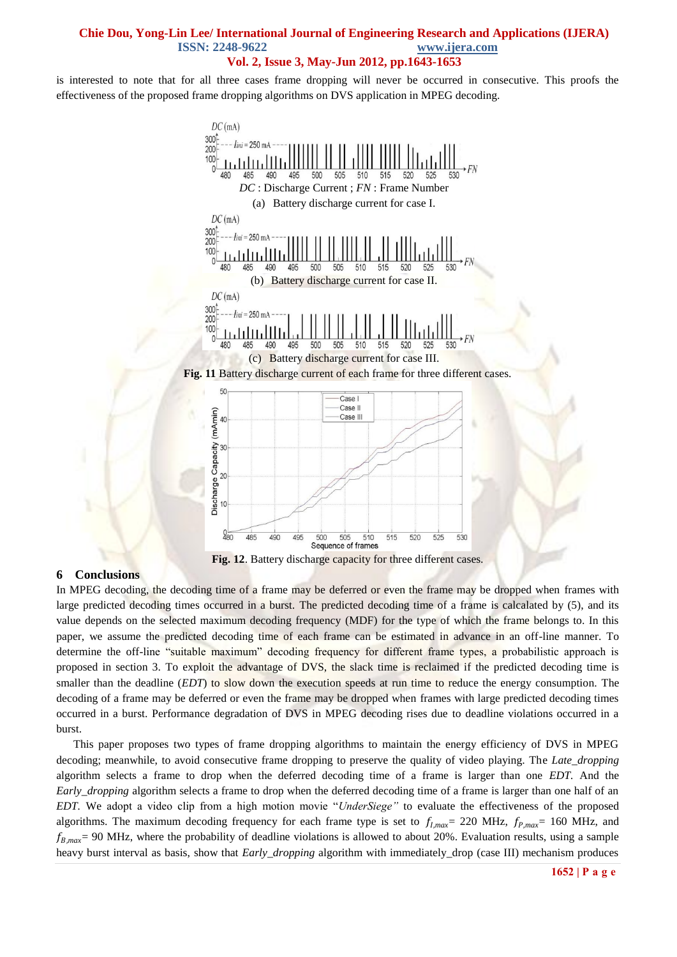is interested to note that for all three cases frame dropping will never be occurred in consecutive. This proofs the effectiveness of the proposed frame dropping algorithms on DVS application in MPEG decoding.



### **6 Conclusions**

In MPEG decoding, the decoding time of a frame may be deferred or even the frame may be dropped when frames with large predicted decoding times occurred in a burst. The predicted decoding time of a frame is calcalated by (5), and its value depends on the selected maximum decoding frequency (MDF) for the type of which the frame belongs to. In this paper, we assume the predicted decoding time of each frame can be estimated in advance in an off-line manner. To determine the off-line "suitable maximum" decoding frequency for different frame types, a probabilistic approach is proposed in section 3. To exploit the advantage of DVS, the slack time is reclaimed if the predicted decoding time is smaller than the deadline (*EDT*) to slow down the execution speeds at run time to reduce the energy consumption. The decoding of a frame may be deferred or even the frame may be dropped when frames with large predicted decoding times occurred in a burst. Performance degradation of DVS in MPEG decoding rises due to deadline violations occurred in a burst.

 This paper proposes two types of frame dropping algorithms to maintain the energy efficiency of DVS in MPEG decoding; meanwhile, to avoid consecutive frame dropping to preserve the quality of video playing. The *Late\_dropping*  algorithm selects a frame to drop when the deferred decoding time of a frame is larger than one *EDT.* And the *Early\_dropping* algorithm selects a frame to drop when the deferred decoding time of a frame is larger than one half of an *EDT.* We adopt a video clip from a high motion movie "*UnderSiege"* to evaluate the effectiveness of the proposed algorithms. The maximum decoding frequency for each frame type is set to  $f_{l,max}$  = 220 MHz,  $f_{P,max}$  = 160 MHz, and  $f_{B,max}$ = 90 MHz, where the probability of deadline violations is allowed to about 20%. Evaluation results, using a sample heavy burst interval as basis, show that *Early\_dropping* algorithm with immediately\_drop (case III) mechanism produces